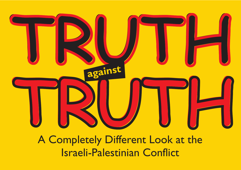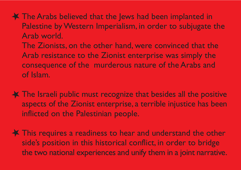- **The Arabs believed that the Jews had been implanted in** Palestine by Western Imperialism, in order to subjugate the Arab world.
	- The Zionists, on the other hand, were convinced that the Arab resistance to the Zionist enterprise was simply the consequence of the murderous nature of the Arabs and of Islam.
- **X** The Israeli public must recognize that besides all the positive aspects of the Zionist enterprise, a terrible injustice has been inflicted on the Palestinian people.
- $\blacktriangle$  **This requires a readiness to hear and understand the other** side's position in this historical conflict, in order to bridge the two national experiences and unify them in a joint narrative.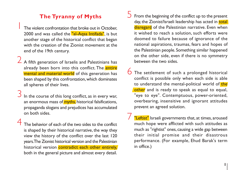### **The Tyranny of Myths**

- The violent confrontation that broke out in October, 2000 and was called the "al-Aqsa Intifada", is but another stage of the historical conflict that began with the creation of the Zionist movement at the end of the 19th century. 1
- $2$  A fifth generation of Israelis and Palestinians has already been born into this conflict. The entire mental and material world of this generation has been shaped by this confrontation, which dominates all spheres of their lives.
- $3$  In the course of this long conflict, as in every war, an enormous mass of myths, historical falsifications, propaganda slogans and prejudices has accumulated on both sides.

The behavior of each of the two sides to the conflict is shaped by their historical narrative, the way they view the history of the conflict over the last 120 years. The Zionist historical version and the Palestinian historical version contradict each other entirely, both in the general picture and almost every detail. 4

- $5$  From the beginning of the conflict up to the present day, the Zionist/Israeli leadership has acted in total disregard of the Palestinian narrative. Even when it wished to reach a solution, such efforts were doomed to failure because of ignorance of the national aspirations, traumas, fears and hopes of the Palestinian people. Something similar happened on the other side, even if there is no symmetry between the two sides.
- $6$  The settlement of such a prolonged historical conflict is possible only when each side is able to understand the mental-political world of the other and is ready to speak as equal to equal, "eye to eye". Contemptuous, power-oriented, overbearing, insensitive and ignorant attitudes prevent an agreed solution.

"Leftist" Israeli governments that, at times, aroused much hope were afflicted with such attitudes as much as "rightist" ones, causing a wide gap between their initial promise and their disastrous performance. (For example, Ehud Barak's term in office.) 7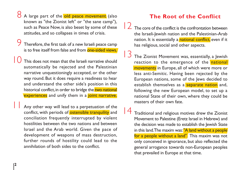- 8 A large part of the old peace movement (also known as "the Zionist left" or "the sane camp"), such as Peace Now, is also beset by some of these attitudes, and so collapses in times of crisis.
- 9 Therefore, the first task of a new Israeli peace camp is to free itself from false and from **one-sided views.**

10 This does not mean that the Israeli narrative should automatically be rejected and the Palestinian narrative unquestioningly accepted, or the other way round. But it does require a readiness to hear and understand the other side's position in this historical conflict, in order to bridge the two national experiences and unify them in a joint narrative.

> Any other way will lead to a perpetuation of the conflict, with periods of **ostensible tranquility** and conciliation frequently interrupted by violent hostilities between the two nations and between Israel and the Arab world. Given the pace of development of weapons of mass destruction, further rounds of hostility could lead to the annihilation of both sides to the conflict.

## **The Root of the Conflict**

- The core of the conflict is the confrontation between the Israeli-Jewish nation and the Palestinian-Arab nation. It is essentially a national conflict, even if it has religious, social and other aspects. 12
- The Zionist Movement was, essentially, a Jewish reaction to the emergence of the national movements in Europe, all of which were more or less anti-Semitic. Having been rejected by the European nations, some of the Jews decided to establish themselves as a separate nation and, following the new European model, to set up a national State of their own, where they could be masters of their own fate. 13
- Traditional and religious motives drew the Zionist Movement to Palestine (Eretz Israel in Hebrew) and the decision was made to establish the Jewish State in this land. The maxim was: "A land without a people for a people without a land". This maxim was not only conceived in ignorance, but also reflected the general arrogance towards non-European peoples that prevailed in Europe at that time. 14

11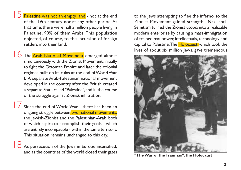$\frac{1}{2}$  Palestine was not an empty land - not at the end of the 19th century nor at any other period. At that time, there were half a million people living in Palestine, 90% of them Arabs. This population objected, of course, to the incursion of foreign settlers into their land.

6 The Arab National Movement emerged almost simultaneously with the Zionist Movement, initially to fight the Ottoman Empire and later the colonial regimes built on its ruins at the end of World War I. A separate Arab-Palestinian national movement developed in the country after the British created a separate State called "Palestine", and in the course of the struggle against Zionist infiltration.

Since the end of World War I, there has been an ongoing struggle between two national movements, the Jewish-Zionist and the Palestinian-Arab, both of which aspire to accomplish their goals - which are entirely incompatible - within the same territory. This situation remains unchanged to this day. 17

8 As persecution of the Jews in Europe intensified, and as the countries of the world closed their gates to the Jews attempting to flee the inferno, so the Zionist Movement gained strength. Nazi anti-Semitism turned the Zionist utopia into a realizable modern enterprise by causing a mass-immigration of trained manpower, intellectuals, technology and capital to Palestine. The Holocaust, which took the lives of about six million Jews, gave tremendous



**"The War of the Traumas": the Holocaust**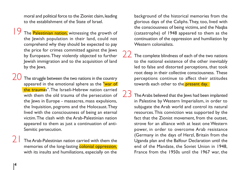moral and political force to the Zionist claim, leading to the establishment of the State of Israel.

19 The **Palestinian nation**, witnessing the growth of the Jewish population in their land, could not comprehend why they should be expected to pay the price for crimes committed against the Jews by Europeans. They violently objected to further Jewish immigration and to the acquisition of land by the Jews.

20 The struggle between the two nations in the country appeared in the emotional sphere as the "war of the traumas". The Israeli-Hebrew nation carried with them the old trauma of the persecution of the Jews in Europe - massacres, mass expulsions, the Inquisition, pogroms and the Holocaust. They lived with the consciousness of being an eternal victim. The clash with the Arab-Palestinian nation appeared to them as just a continuation of anti-Semitic persecution.

21 The Arab-Palestinian nation carried with them the memories of the long-lasting colonial oppression, with its insults and humiliations, especially on the background of the historical memories from the glorious days of the Caliphs. They, too, lived with the consciousness of being victims, and the Naqba (catastrophe) of 1948 appeared to them as the continuation of the oppression and humiliation by Western colonialists.

- The complete blindness of each of the two nations to the national existence of the other inevitably led to false and distorted perceptions, that took root deep in their collective consciousness. These perceptions continue to affect their attitudes towards each other to the present day. 22
- The Arabs believed that the Jews had been implanted in Palestine by Western Imperialism, in order to subjugate the Arab world and control its natural resources. This conviction was supported by the fact that the Zionist movement, from the outset, strove for an alliance with at least one Western power, in order to overcome Arab resistance (Germany in the days of Herzl, Britain from the Uganda plan and the Balfour Declaration until the end of the Mandate, the Soviet Union in 1948, France from the 1950s until the 1967 war, the 23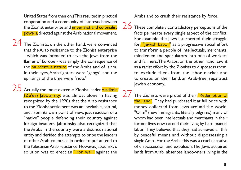United States from then on.) This resulted in practical cooperation and a community of interests between the Zionist enterprise and *imperialist* and colonialist powers, directed against the Arab national movement.

 $24\,$  The Zionists, on the other hand, were convinced that the Arab resistance to the Zionist enterprise - which was intended to save the Jews from the flames of Europe - was simply the consequence of the **murderous nature** of the Arabs and of Islam. In their eyes, Arab fighters were "gangs", and the uprisings of the time were "riots".

25 Actually, the most extreme Zionist leader, <mark>Vladimir</mark> (Ze'ev) Jabotinsky, was almost alone in having recognized by the 1920s that the Arab resistance to the Zionist settlement was an inevitable, natural, and, from its own point of view, just reaction of a "native" people defending their country against foreign invaders. Jabotinsky also recognized that the Arabs in the country were a distinct national entity and derided the attempts to bribe the leaders of other Arab countries in order to put an end to the Palestinian Arab resistance. However, Jabotinsky's solution was to erect an "iron wall" against the

Arabs and to crush their resistance by force.

- $26\,$  These completely contradictory perceptions of the facts permeate every single aspect of the conflict. For example, the Jews interpreted their struggle for "Jewish Labor" as a progressive social effort to transform a people of intellectuals, merchants, middlemen and speculators into one of workers and farmers. The Arabs, on the other hand, saw it as a racist effort by the Zionists to dispossess them, to exclude them from the labor market and to create, on their land, an Arab-free, separatist Jewish economy.
- The Zionists were proud of their **"Redemption of** the Land". They had purchased it at full price with money collected from Jews around the world. "Olim" (new immigrants, literally pilgrims) many of whom had been intellectuals and merchants in their former lives now earned their living by hard manual labor. They believed that they had achieved all this by peaceful means and without dispossessing a single Arab. For the Arabs this was a cruel narrative of dispossession and expulsion: The Jews acquired lands from Arab absentee landowners living in the 27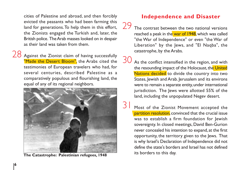cities of Palestine and abroad, and then forcibly evicted the peasants who had been farming this land for generations. To help them in this effort, the Zionists engaged the Turkish and, later, the British police. The Arab masses looked on in despair as their land was taken from them.

28 Against the Zionist claim of having successfully "Made the Desert Bloom", the Arabs cited the testimonies of European travelers who had, for several centuries, described Palestine as a comparatively populous and flourishing land, the equal of any of its regional neighbors.



**The Catastrophe: Palestinian refugees, 1948**

### **Independence and Disaster**

- The contrast between the two national versions reached a peak in the war of 1948, which was called "the War of Independence" or even "the War of Liberation" by the Jews, and "El Naqba", the catastrophe, by the Arabs. 29
- As the conflict intensified in the region, and with the resounding impact of the Holocaust, the United Nations decided to divide the country into two States, Jewish and Arab. Jerusalem and its environs were to remain a separate entity, under international jurisdiction. The Jews were allotted 55% of the land, including the unpopulated Negev desert. 30
- Most of the Zionist Movement accepted the partition resolution, convinced that the crucial issue was to establish a firm foundation for Jewish sovereignty. In closed meetings, David Ben-Gurion never concealed his intention to expand, at the first opportunity, the territory given to the Jews. That is why Israel's Declaration of Independence did not define the state's borders and Israel has not defined its borders to this day. 31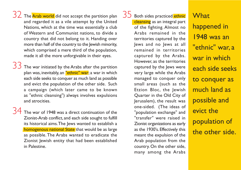$32$  The  $\stackrel{\text{Arab}}{\text{or}}$  world did not accept the partition plan and regarded it as a vile attempt by the United Nations, which at the time was essentially a club of Western and Communist nations, to divide a country that did not belong to it. Handing over more than half of the country to the Jewish minority, which comprised a mere third of the population, made it all the more unforgivable in their eyes.

 $33$  The war initiated by the Arabs after the partition plan was, inevitably, an "ethnic" war; a war in which each side seeks to conquer as much land as possible and evict the population of the other side. Such a campaign (which later came to be known as "ethnic cleansing") always involves expulsions and atrocities.

 $34$  The war of 1948 was a direct continuation of the Zionist-Arab conflict, and each side sought to fulfill its historical aims. The Jews wanted to establish a homogenous national State that would be as large as possible. The Arabs wanted to eradicate the Zionist Jewish entity that had been established in Palestine.

35 Both sides practiced ethnic What cleansing as an integral part of the fighting. Almost no Arabs remained in the territories captured by the Jews and no Jews at all remained in territories captured by the Arabs. However, as the territories captured by the Jews were very large while the Arabs managed to conquer only small areas (such as the Etzion Bloc, the Jewish Quarter in the Old City of Jerusalem), the result was one-sided. (The ideas of "population exchange" and "transfer" were raised in Zionist organizations as early as the 1930's. Effectively this meant the expulsion of the Arab population from the country. On the other side, many among the Arabs

happened in 1948 was an "ethnic" war, a war in which each side seeks to conquer as much land as possible and evict the population of the other side.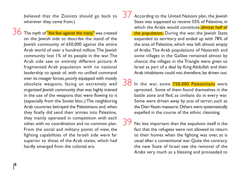believed that the Zionists should go back to wherever they came from.)

 $36$  The myth of "the few against the many" was created on the Jewish side to describe the stand of the Jewish community of 650,000 against the entire Arab world of over a hundred million. The Jewish community lost 1% of its people in the war. The Arab side saw an entirely different picture: A fragmented Arab population with no national leadership to speak of, with no unified command over its meager forces, poorly equipped with mostly obsolete weapons, facing an extremely well organized Jewish community that was highly trained in the use of the weapons that were flowing to it (especially from the Soviet bloc.) The neighboring Arab countries betrayed the Palestinians and, when they finally did send their armies into Palestine, they mainly operated in competition with each other, with no coordination and no common plan. From the social and military points of view, the fighting capabilities of the Israeli side were far superior to those of the Arab states, which had hardly emerged from the colonial era.

- $37$  According to the United Nations plan, the Jewish State was supposed to receive 55% of Palestine, in which the Arabs would constitute almost half of the population. During the war, the Jewish State expanded its territory and ended up with 78% of the area of Palestine, which was left almost empty of Arabs. The Arab populations of Nazareth and some villages in the Galilee remained almost by chance; the villages in the Triangle were given to Israel as part of a deal by King Abdullah and their Arab inhabitants could not, therefore, be driven out.
- 38 In the war, some <mark>750,000 Palestinians</mark> were uprooted. Some of them found themselves in the battle zone and fled, as civilians do in every war. Some were driven away by acts of terror, such as the Deir-Yassin massacre. Others were systematically expelled in the course of the ethnic cleansing.
- No less important than the expulsion itself is the fact that the refugees were not allowed to return to their homes when the fighting was over, as is usual after a conventional war. Quite the contrary, the new State of Israel saw the removal of the Arabs very much as a blessing and proceeded to 39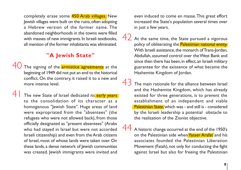completely erase some **450 Arab villages.** New Jewish villages were built on the ruins, often adopting a Hebrew version of the former name. The abandoned neighborhoods in the towns were filled with masses of new immigrants. In Israeli textbooks, all mention of the former inhabitants was eliminated.

#### **"A Jewish State"**

The signing of the **armistice agreements** at the beginning of 1949 did not put an end to the historical conflict. On the contrary, it raised it to a new and more intense level. 40

41

The new State of Israel dedicated its early years to the consolidation of its character as a homogenous "Jewish State". Huge areas of land were expropriated from the "absentees" (the refugees who were not allowed back), from those officially designated as "present absentees" (Arabs who had stayed in Israel but were not accorded Israeli citizenship) and even from the Arab citizens of Israel, most of whose lands were taken over. On these lands, a dense network of Jewish communities was created. Jewish immigrants were invited and

even induced to come en masse. This great effort increased the State's population several times over in just a few years.

- $42$  At the same time, the State pursued a vigorous policy of obliterating the Palestinian national entity. With Israeli assistance, the monarch of Trans-Jordan, Abdullah, assumed control over the West Bank and since then there has been, in effect, an Israeli military guarantee for the existence of what became the Hashemite Kingdom of Jordan.
- The main rationale for the alliance between Israel and the Hashemite Kingdom, which has already existed for three generations, is to prevent the establishment of an independent and viable Palestinian State, which was - and still is - considered by the Israeli leadership a potential obstacle to the realization of the Zionist objective. 43
- A historic change occurred at the end of the 1950's on the Palestinian side when Yasser Arafat and his associates founded the Palestinian Liberation Movement (Fatah), not only for conducting the fight against Israel but also for freeing the Palestinian 44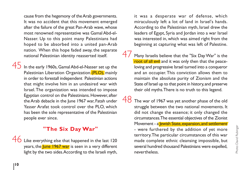cause from the hegemony of the Arab governments. It was no accident that this movement emerged after the failure of the great Pan-Arab wave, whose most renowned representative was Gamal Abd-el-Nasser. Up to this point many Palestinians had hoped to be absorbed into a united pan-Arab nation. When this hope faded away, the separate national Palestinian identity reasserted itself.

 $45\,$  In the early 1960s, Gamal Abd-el-Nasser set up the Palestinian Liberation Organization (PLO), mainly in order to forestall independent Palestinian actions that might involve him in an undesired war with Israel. The organization was intended to impose Egyptian control on the Palestinians. However, after the Arab debacle in the June 1967 war, Fatah under Yasser Arafat took control over the PLO, which has been the sole representative of the Palestinian people ever since.

### **"The Six Day War"**

 $46\,$  Like everything else that happened in the last 120  $\,$ years, the June 1967 war is seen in a very different light by the two sides. According to the Israeli myth, it was a desperate war of defense, which miraculously left a lot of land in Israel's hands. According to the Palestinian myth, Israel drew the leaders of Egypt, Syria and Jordan into a war Israel was interested in, which was aimed right from the beginning at capturing what was left of Palestine.

- Many Israelis believe that the "Six Day War" is the root of all evil and it was only then that the peaceloving and progressive Israel turned into a conqueror and an occupier. This conviction allows them to maintain the absolute purity of Zionism and the State of Israel up to that point in history, and preserve their old myths. There is no truth to this legend. 47
- The war of 1967 was yet another phase of the old struggle between the two national movements. It did not change the essence; it only changed the circumstances. The essential objectives of the Zionist Movement - a lewish State, expansion, and settlement - were furthered by the addition of yet more territory. The particular circumstances of this war made complete ethnic cleansing impossible, but several hundred thousand Palestinians were expelled, nevertheless. 48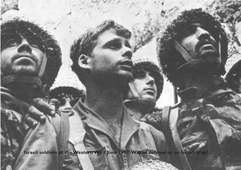**Israeli soldiers at the Western Wall, June 1967: War of defense or an Israeli trap?**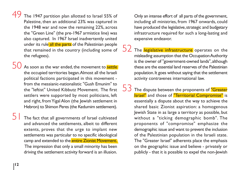49

The 1947 partition plan allotted to Israel 55% of Palestine, then an additional 23% was captured in the 1948 war and now the remaining 22%, across the "Green Line" (the pre-1967 armistice line) was also captured. In 1967 Israel inadvertently united under its rule all the parts of the Palestinian people that remained in the country (including some of the refugees).

50 As soon as the war ended, the movement to **settle** the occupied territories began. Almost all the Israeli political factions participated in this movement from the messianic-nationalistic "Gush Emunim" to the "leftist" United Kibbutz Movement. The first settlers were supported by most politicians, left and right, from Yigal Alon (the Jewish settlement in Hebron) to Shimon Peres (the Kedumim settlement).

The fact that all governments of Israel cultivated and advanced the settlements, albeit to different extents, proves that the urge to implant new settlements was particular to no specific ideological camp and extended to the entire Zionist Movement. The impression that only a small minority has been driving the settlement activity forward is an illusion.

Only an intense effort of all parts of the government, including all ministries, from 1967 onwards, could have produced the legislative, strategic and budgetary infrastructure required for such a long-lasting and expensive endeavor.

- The legislative infrastructure operates on the misleading assumption that the Occupation Authority is the owner of "government-owned lands", although these are the essential land reserves of the Palestinian population. It goes without saying that the settlement activity contravenes international law. 52
- The dispute between the proponents of "Greater" **Israel"** and those of "Territorial Compromise" is essentially a dispute about the way to achieve the shared basic Zionist aspiration: a homogenous Jewish State in as large a territory as possible, but without a "ticking demographic bomb". The proponents of "compromise" emphasize the demographic issue and want to prevent the inclusion of the Palestinian population in the Israeli state. The "Greater Israel" adherents place the emphasis on the geographic issue and believe - privately or publicly - that it is possible to expel the non-Jewish 53

51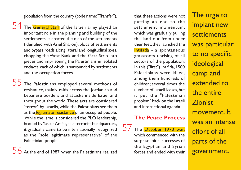population from the country (code name: "Transfer").

 $54$  The <mark>General Staff</mark> of the Israeli army played an important role in the planning and building of the settlements. It created the map of the settlements (identified with Ariel Sharon): blocs of settlements and bypass roads along lateral and longitudinal axes, chopping the West Bank and the Gaza Strip into pieces and imprisoning the Palestinians in isolated enclaves, each of which is surrounded by settlements and the occupation forces.

 $55$  The Palestinians employed several methods of resistance, mainly raids across the Jordanian and Lebanese borders and attacks inside Israel and throughout the world. These acts are considered "terror" by Israelis, while the Palestinians see them as the legitimate resistance of an occupied people. While the Israelis considered the PLO leadership, headed by Yasser Arafat, as a terrorist headquarters, it gradually came to be internationally recognized as the "sole legitimate representative" of the Palestinian people.

 $56$  At the end of 1987, when the Palestinians realized

that these actions were not putting an end to the settlement momentum, which was gradually pulling the land out from under their feet, they launched the Intifada - a spontaneous grassroots uprising of all sectors of the population. In this ("first") Intifida, 1500 Palestinians were killed, among them hundreds of children; several times the number of Israeli losses, but it put the "Palestinian problem" back on the Israeli and international agenda.

#### **The Peace Process**

The October 1973 war, which commenced with the surprise initial successes of the Egyptian and Syrian forces and ended with their 57

The urge to implant new settlements was particular to no specific ideological camp and extended to the entire **Zionist** movement. It was an intense effort of all parts of the government.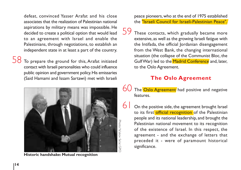defeat, convinced Yasser Arafat and his close associates that the realization of Palestinian national aspirations by military means was impossible. He decided to create a political option that would lead to an agreement with Israel and enable the Palestinians, through negotiations, to establish an independent state in at least a part of the country.

 $58$  To prepare the ground for this, Arafat initiated contact with Israeli personalities who could influence public opinion and government policy. His emissaries (Said Hamami and Issam Sartawi) met with Israeli



**Historic handshake: Mutual recognition**

peace pioneers, who at the end of 1975 established the "Israeli Council for Israeli-Palestinian Peace".

These contacts, which gradually became more extensive, as well as the growing Israeli fatigue with the Intifada, the official Jordanian disengagement from the West Bank, the changing international situation (the collapse of the Communist Bloc, the Gulf War) led to the Madrid Conference and, later, to the Oslo Agreement. 59

# **The Oslo Agreement**

- The **Oslo Agreement** had positive and negative features. 60
- On the positive side, the agreement brought Israel to its first official recognition of the Palestinian people and its national leadership, and brought the Palestinian national movement to its recognition of the existence of Israel. In this respect, the agreement - and the exchange of letters that preceded it - were of paramount historical significance. 61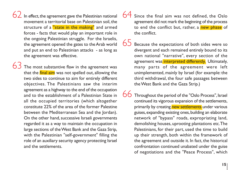$62\,$  In effect, the agreement gave the Palestinian national movement a territorial base on Palestinian soil, the structure of a "state in the making" and armed forces - facts that would play an important role in the ongoing Palestinian struggle. For the Israelis, the agreement opened the gates to the Arab world and put an end to Palestinian attacks - as long as the agreement was effective.

 $63$  The most substantive flaw in the agreement was that the *final aim* was not spelled out, allowing the two sides to continue to aim for entirely different objectives. The Palestinians saw the interim agreement as a highway to the end of the occupation and to the establishment of a Palestinian State in all the occupied territories (which altogether constitute 22% of the area of the former Palestine between the Mediterranean Sea and the Jordan). On the other hand, successive Israeli governments regarded it as a way to maintain the occupation in large sections of the West Bank and the Gaza Strip, with the Palestinian "self-government" filling the role of an auxiliary security agency protecting Israel and the settlements.

Since the final aim was not defined, the Oslo agreement did not mark the beginning of the process to end the conflict but, rather, a new phase of the conflict. 64

- Because the expectations of both sides were so divergent and each remained entirely bound to its own national "narrative", every section of the agreement was interpreted differently. Ultimately, many parts of the agreement were left unimplemented, mainly by Israel (for example: the third withdrawal, the four safe passages between the West Bank and the Gaza Strip.) 65
- Throughout the period of the "Oslo Process", Israel continued its vigorous expansion of the settlements, primarily by creating new settlements under various guises, expanding existing ones, building an elaborate network of "bypass" roads, expropriating land, demolishing houses, uprooting plantations etc. The Palestinians, for their part, used the time to build up their strength, both within the framework of the agreement and outside it. In fact, the historical confrontation continued unabated under the guise of negotiations and the "Peace Process", which 66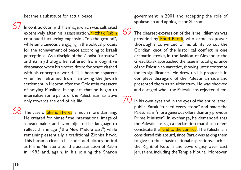became a substitute for actual peace.

 $67$  In contradiction with his image, which was cultivated extensively after his assassination, Yitzhak Rabin continued furthering expansion "on the ground", while simultaneously engaging in the political process for the achievement of peace according to Israeli perceptions. As a disciple of the Zionist "narrative" and its mythology, he suffered from cognitive dissonance when his sincere desire for peace clashed with his conceptual world. This became apparent when he refrained from removing the Jewish settlement in Hebron after the Goldstein massacre of praying Muslims. It appears that he began to internalize some parts of the Palestinian narrative only towards the end of his life.

 $68$  The case of **Shimon Peres** is much more damning. He created for himself the international image of a peacemaker and even adjusted his language to reflect this image ("the New Middle East") while remaining essentially a traditional Zionist hawk. This became clear in his short and bloody period as Prime Minister after the assassination of Rabin in 1995 and, again, in his joining the Sharon

government in 2001 and accepting the role of spokesman and apologist for Sharon.

The clearest expression of the Israeli dilemma was provided by Ehud Barak, who came to power thoroughly convinced of his ability to cut the Gordian knot of the historical conflict in one dramatic stroke, in the fashion of Alexander the Great. Barak approached the issue in total ignorance of the Palestinian narrative, showing utter contempt for its significance. He drew up his proposals in complete disregard of the Palestinian side and presented them as an ultimatum. He was shocked and enraged when the Palestinians rejected them. 69

In his own eyes and in the eyes of the entire Israeli public, Barak "turned every stone" and made the Palestinians "more generous offers than any previous Prime Minister". In exchange, he demanded that the Palestinians sign a declaration that these offers constitute the "end to the conflict". The Palestinians considered this absurd, since Barak was asking them to give up their basic national aspirations, such as the Right of Return and sovereignty over East Jerusalem, including the Temple Mount. Moreover, 70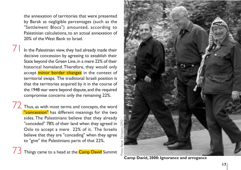the annexation of territories that were presented by Barak as negligible percentages (such as the "Settlement Blocs") amounted, according to Palestinian calculations, to an actual annexation of 20% of the West Bank to Israel.

7 | In the Palestinian view, they had already made their decisive concession by agreeing to establish their State beyond the Green Line, in a mere 22% of their historical homeland. Therefore, they would only accept minor border changes in the context of territorial swaps. The traditional Israeli position is that the territories acquired by it in the course of the 1948 war were beyond dispute, and the required compromise concerns only the remaining 22%.

 $72$  Thus, as with most terms and concepts, the word **"concession"** has different meanings for the two sides. The Palestinians believe that they already "conceded" 78% of their land when they agreed in Oslo to accept a mere 22% of it. The Israelis believe that they are "conceding" when they agree to "give" the Palestinians parts of that 22%.

 $\sqrt{3}$  Things came to a head at the <mark>Camp David</mark> Summit



**Camp David, 2000: Ignorance and arrogance**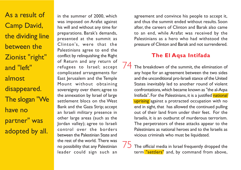As a result of Camp David, the dividing line between the Zionist "right" and "left" almost disappeared. The slogan "We have no partner" was adopted by all.

in the summer of 2000, which was imposed on Arafat against his will and without any time for preparations. Barak's demands, presented at the summit as Clinton's, were that the Palestinians agree to end the conflict by relinquishing the Right of Return and any return of refugees to Israel; accept complicated arrangements for East Jerusalem and the Temple Mount without obtaining sovereignty over them; agree to the annexation by Israel of large settlement blocs on the West Bank and the Gaza Strip; accept an Israeli military presence in other large areas (such as the Jordan valley); agree to Israeli control over the borders between the Palestinian State and the rest of the world. There was no possibility that any Palestinian leader could sign such an

agreement and convince his people to accept it, and thus the summit ended without results. Soon after, the careers of Clinton and Barak also came to an end, while Arafat was received by the Palestinians as a hero who had withstood the pressure of Clinton and Barak and not surrendered.

#### **The El Aqsa Intifada**

The breakdown of the summit, the elimination of any hope for an agreement between the two sides and the unconditional pro-Israeli stance of the United States inevitably led to another round of violent confrontations, which became known as "the al-Aqsa Intifada". For the Palestinians, it is a justified national uprising against a protracted occupation with no end in sight, that has allowed the continued pulling out of their land from under their feet. For the Israelis, it is an outburst of murderous terrorism. The perpetrators of these attacks appear to the Palestinians as national heroes and to the Israelis as vicious criminals who must be liquidated. 74

The official media in Israel frequently dropped the term "settlers" and, by command from above, 75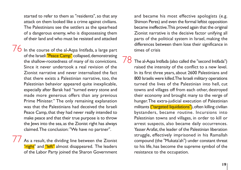started to refer to them as "residents", so that any attack on them looked like a crime against civilians. The Palestinians see the settlers as the spearhead of a dangerous enemy, who is dispossessing them of their land and who must be resisted and attacked

 $\overline{76}$  In the course of the al-Aqsa Intifada, a large part of the Israeli **"Peace Camp"** collapsed, demonstrating the shallow-rootedness of many of its convictions. Since it never undertook a real revision of the Zionist narrative and never internalized the fact that there exists a Palestinian narrative, too, the Palestinian behavior appeared quite inexplicable, especially after Barak had "turned every stone and made more generous offers than any previous Prime Minister." The only remaining explanation was that the Palestinians had deceived the Israeli Peace Camp, that they had never really intended to make peace and that their true purpose is to throw the Jews into the sea, as the Zionist right has always claimed. The conclusion: "We have no partner".

As a result, the dividing line between the Zionist 77 "right" and "left" almost disappeared. The leaders of the Labor Party joined the Sharon Government and became his most effective apologists (e.g. Shimon Peres) and even the formal leftist opposition became ineffective. This proved again that the original Zionist narrative is the decisive factor unifying all parts of the political system in Israel, making the differences between them lose their significance in times of crisis

The al-Aqsa Intifada (also called the "second Intifada") raised the intensity of the conflict to a new level. In its first three years, about 2600 Palestinians and 800 Israelis were killed. The Israeli military operations turned the lives of the Palestinian into hell, cut towns and villages off from each other, destroyed their economy and brought many to the verge of hunger. The extra-judicial execution of Palestinian militants ("targeted liquidations"), often killing civilian bystanders, became routine. Incursions into Palestinian towns and villages, in order to kill or arrest suspects, also became daily occurrences. Yasser Arafat, the leader of the Palestinian liberation struggle, effectively imprisoned in his Ramallah compound (the "Mukata'ah") under constant threat to his life, has become the supreme symbol of the resistance to the occupation. 78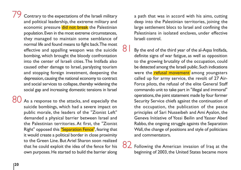79 Contrary to the expectations of the Israeli military and political leadership, the extreme military and economic pressure did not break the Palestinian population. Even in the most extreme circumstances, they managed to maintain some semblance of normal life and found means to fight back. The most effective and appalling weapon was the suicide bombing, which brought the bloody confrontation into the center of Israeli cities. The Intifada also caused other damage to Israel, paralyzing tourism and stopping foreign investment, deepening the depression, causing the national economy to contract and social services to collapse, thereby widening the social gap and increasing domestic tensions in Israel

81

80 As a response to the attacks, and especially the suicide bombings, which had a severe impact on public morale, the leaders of the "Zionist Left" demanded a physical barrier between Israel and the Palestinian territories. At first, the "Zionist Right" opposed this "Separation Fence", fearing that it would create a political border in close proximity to the Green Line. But Ariel Sharon soon realized that he could exploit the idea of the fence for his own purposes. He started to build the barrier along

a path that was in accord with his aims, cutting deep into the Palestinian territories, joining the large settlement blocs to Israel and confining the Palestinians in isolated enclaves, under effective Israeli control.

By the end of the third year of the al-Aqsa Intifada, definite signs of war fatigue, as well as opposition to the growing brutality of the occupation, could be detected among the Israeli public. Such indications were the **refusal movement** among youngsters called up for army service, the revolt of 27 Air-Force pilots, the refusal of the elite General Staff commando unit to take part in "illegal and immoral" operations, the joint statement made by four former Security Service chiefs against the continuation of the occupation, the publication of the peace principles of Sari Nusseibeh and Ami Ayalon, the Geneva Initiative of Yossi Beilin and Yasser Abed Rabbo, the ongoing struggle againts the Separation Wall, the change of positions and style of politicians and commentators.

Following the American invasion of Iraq at the beginning of 2003, the United States became more 82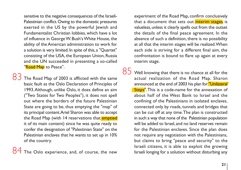sensitive to the negative consequences of the Israeli-Palestinian conflict. Owing to the domestic pressures exerted in the US by the powerful Jewish and Fundamentalist Christian lobbies, which have a lot of influence in George W. Bush's White House, the ability of the American administration to work for a solution is very limited. In spite of this, a "Quartet" consisting of the USA, the European Union, Russia and the UN succeeded in presenting a so-called "Road Map to Peace".

 $83$  The Road Map of 2003 is afflicted with the same basic fault as the Oslo Declaration of Principles of 1993. Although, unlike Oslo, it does define an aim ("Two States for Two Peoples"), it does not spell out where the borders of the future Palestinian State are going to be, thus emptying the "map" of its principal content. Ariel Sharon was able to accept the Road Map (with 14 reservations that emptied it of its main content) since he was quite ready to confer the designation of "Palestinian State" on the Palestinian enclaves that he wants to set up in 10% of the country.

 $84$  The Oslo experience, and, of course, the new

experiment of the Road Map, confirm conclusively that a document that sets out *interim stages* is valueless, unless it clearly spells out from the outset the details of the final peace agreement. In the absence of such a definition, there is no possibility at all that the interim stages will be realized. When each side is striving for a different final aim, the confrontation is bound to flare up again at every interim stage.

 $85$  Well knowing that there is no chance at all for the actual realization of the Road Map. Sharon announced at the end of 2003 his plan for "Unilateral Steps". This is a code-name for the annexation of about half of the West Bank to Israel and the confining of the Palestinians in isolated enclaves, connected only by roads, tunnels and bridges that can be cut off at any time. The plan is constructed in such a way that none of the Palestinian population will be added to Israel, and no land reserves remain for the Palestinian enclaves. Since the plan does not require any negotiation with the Palestinians, but claims to bring "peace and security" to the Israeli citizens, it is able to exploit the growing Israeli longing for a solution without disturbing any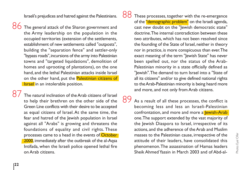Israeli's prejudices and hatred against the Palestinians.

 $86\,$  The general attack of the Sharon government and the Army leadership on the population in the occupied territories (extension of the settlements, establishment of new settlements called "outposts", building the "separation fence" and settler-only "bypass roads", incursions of the army into Palestinian towns and "targeted liquidations", demolition of homes and uprooting of plantations), on the one hand, and the lethal Palestinian attacks inside Israel on the other hand, put the Palestinian citizens of **Israel** in an intolerable position.

87 The natural inclination of the Arab citizens of Israel to help their brethren on the other side of the Green Line conflicts with their desire to be accepted as equal citizens of Israel. At the same time, the fear and hatred of the Jewish population in Israel against all "Arabs" is growing and threatens the foundations of equality and civil rights. These processes came to a head in the events of October 2000, immediately after the outbreak of the al-Aqsa Intifada, when the Israeli police opened lethal fire on Arab citizens.

These processes, together with the re-emergence of the "demographic problem" on the Israeli agenda, cast new doubt on the "Jewish democratic state" doctrine. The internal contradiction between these two attributes, which has not been resolved since the founding of the State of Israel, neither in theory nor in practice, is more conspicuous than ever. The exact meaning of the term "Jewish State" has never been spelled out, nor the status of the Arab-Palestinian minority in a state officially defined as "Jewish". The demand to turn Israel into a "State of all its citizens" and/or to give defined national rights to the Arab-Palestinian minority is being heard more and more, and not only from Arab citizens. 88

As a result of all these processes, the conflict is becoming less and less an Israeli-Palestinian confrontation, and more and more a lewish-Arab one. The support extended by the vast majority of the Jewish Diaspora to Israel, irrespective of its actions, and the adherence of the Arab and Muslim masses to the Palestinian cause, irrespective of the attitude of their leaders, have consolidated this phenomenon. The assassination of Hamas leaders Sheik Ahmed Yassin in March 2003 and of Abd-al-89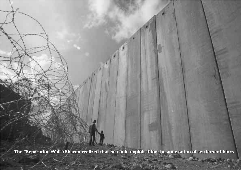**The "Separation Wall": Sharon realized that he could exploit it for the annexation of settlement blocs The "Separation Wall": Sharon realized that he could exploit it for the annexation of settlement blocs**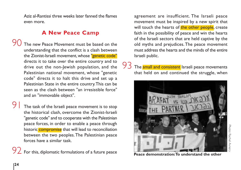Aziz al-Rantissi three weeks later fanned the flames even more.

#### **A New Peace Camp**

90 The new Peace Movement must be based on the understanding that the conflict is a clash between the Zionist-Israeli movement, whose "genetic code" directs it to take over the entire country and to drive out the non-Jewish population, and the Palestinian national movement, whose "genetic code" directs it to halt this drive and set up a Palestinian State in the entire country. This can be seen as the clash between "an irresistible force" and an "immovable object".

91

The task of the Israeli peace movement is to stop the historical clash, overcome the Zionist-Israeli "genetic code" and to cooperate with the Palestinian peace forces, in order to enable a peace through historic **compromise** that will lead to reconciliation between the two peoples. The Palestinian peace forces have a similar task.

92 For this, diplomatic formulations of a future peace

agreement are insufficient. The Israeli peace movement must be inspired by a new spirit that will touch the hearts of the other people, create faith in the possibility of peace and win the hearts of the Israeli sectors that are held captive by the old myths and prejudices. The peace movement must address the hearts and the minds of the entire Israeli public.

The **small and consistent** Israeli peace movements that held on and continued the struggle, when 93



Photo: Rachel Avnery

oto: Rachel Avner

**Peace demonstration: To understand the other**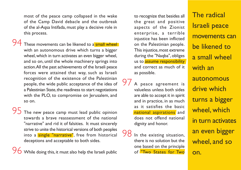most of the peace camp collapsed in the wake of the Camp David debacle and the outbreak of the al-Aqsa Intifada, must play a decisive role in this process.

94 These movements can be likened to a<mark> small wheel</mark> with an autonomous drive which turns a bigger wheel, which in turn activates an even bigger wheel, and so on, until the whole machinery springs into action. All the past achievements of the Israeli peace forces were attained that way, such as Israeli recognition of the existence of the Palestinian people, the wide public acceptance of the idea of a Palestinian State, the readiness to start negotiations with the PLO, to compromise on Jerusalem, and so on.

 $95$  The new peace camp must lead public opinion towards a brave reassessment of the national "narrative" and rid it of falsities. It must sincerely strive to unite the historical versions of both peoples into a single "narrative", free from historical deceptions and acceptable to both sides.

 $96$  While doing this, it must also help the Israeli public

to recognize that besides all the great and positive aspects of the Zionist enterprise, a terrible injustice has been inflicted on the Palestinian people. This injustice, most extreme during the "Naqba", obliges us to assume responsibility and correct as much of it as possible.

A peace agreement is valueless unless both sides are able to accept it in spirit and in practice, in as much as it satisfies the basic national aspirations and does not offend national dignity and honor. 97

In the existing situation, there is no solution but the one based on the principle of "Two States for Two 98

The radical Israeli peace movements can be likened to a small wheel with an autonomous drive which turns a bigger wheel, which in turn activates an even bigger wheel, and so on.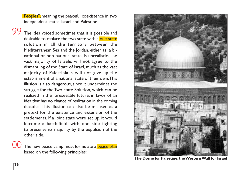Peoples", meaning the peaceful coexistence in two independent states, Israel and Palestine.

99 The idea voiced sometimes that it is possible and desirable to replace the two-state with a one-state solution in all the territory between the Mediterranean Sea and the Jordan, either as a binational or non-national state, is unrealistic. The vast majority of Israelis will not agree to the dismantling of the State of Israel, much as the vast majority of Palestinians will not give up the establishment of a national state of their own. This illusion is also dangerous, since it undermines the struggle for the Two-state Solution, which can be realized in the foreseeable future, in favor of an idea that has no chance of realization in the coming decades. This illusion can also be misused as a pretext for the existence and extension of the settlements. If a joint state were set up, it would become a battlefield, with one side fighting to preserve its majority by the expulsion of the other side.

100 The new peace camp must formulate a peace plan based on the following principles:



**The Dome for Palestine, the Western Wall for Israel**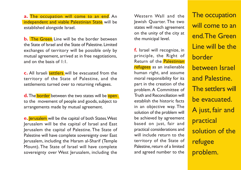a. The occupation will come to an end. An independent and viable Palestinian State will be established alongside Israel.

**b.** The Green Line will be the border between the State of Israel and the State of Palestine. Limited exchanges of territory will be possible only by mutual agreement, arrived at in free negotiations, and on the basis of 1:1.

**c.** All Israeli settlers will be evacuated from the territory of the State of Palestine, and the settlements turned over to returning refugees.

**d.** The **border** between the two states will be **open** to the movement of people and goods, subject to arrangements made by mutual agreement.

**e. Jerusalem** will be the capital of both States. West Jerusalem will be the capital of Israel and East Jerusalem the capital of Palestine. The State of Palestine will have complete sovereignty over East Jerusalem, including the Haram al-Sharif (Temple Mount). The State of Israel will have complete sovereignty over West Jerusalem, including the

Western Wall and the Jewish Quarter. The two states will reach agreement on the unity of the city at the municipal level.

**f.** Israel will recognize, in principle, the Right of Return of the Palestinian refugees as an inalienable human right, and assume moral responsibility for its part in the creation of the problem. A Committee of Truth and Reconciliation will establish the historic facts in an objective way. The solution of the problem will be achieved by agreement based on just, fair and practical considerations and will include return to the territory of the State of Palestine, return of a limited and agreed number to the

The occupation will come to an end. The Green Line will be the border between Israel and Palestine. The settlers will be evacuated. A just, fair and practical solution of the refugee problem.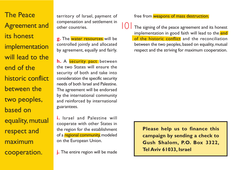The Peace Agreement and its honest implementation will lead to the end of the historic conflict between the two peoples, based on equality, mutual respect and maximum cooperation.

territory of Israel, payment of compensation and settlement in other countries.

**g.** The water resources will be controlled jointly and allocated by agreement, equally and fairly.

**h.** A **security pact** between the two States will ensure the security of both and take into consideration the specific security needs of both Israel and Palestine. The agreement will be endorsed by the international community and reinforced by international guarantees.

**i.** Israel and Palestine will cooperate with other States in the region for the establishment of a regional community, modeled on the European Union.

**j.** The entire region will be made

#### free from weapons of mass destruction.

The signing of the peace agreement and its honest implementation in good faith will lead to the end of the historic conflict and the reconciliation between the two peoples, based on equality, mutual respect and the striving for maximum cooperation. 101

> **Please help us to finance this campaign by sending a check to Gush Shalom, P.O. Box 3322, Tel Aviv 61033, Israel**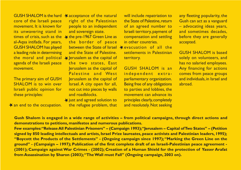core of the Israeli peace movement. It is known for its unwavering stand in times of crisis, such as the  $\,blacktriangleright\,$  the pre-1967 Green Line as al-Aqsa intifada. For years, GUSH SHALOM has played a leading role in determining the moral and political  $\bigstar$  Jerusalem as the capital of agenda of the Israeli peace movement.

The primary aim of GUSH SHALOM is to win over Israeli public opinion for these principles:

\* an end to the occupation.

GUSH SHALOM is the hard  $\bigstar$  acceptance of the natural right of the Palestinian people to an independent and sovereign state.

> the border of peace between the State of Israel  $\bigstar$  evacuation of all the and the State of Palestine.

the two states, East Jerusalem as the capital of Palestine and West Jerusalem as the capital of Israel. A city open for all, not cut into pieces by walls and roadblocks.

 $\blacktriangle$  just and agreed solution to the refugee problem, that will include repatriation to the State of Palestine, return of an agreed number to Israeli territory, payment of compensation and settling in other countries.

settlements in Palestinian territory.

GUSH SHALOM is an independent extraparliamentary organization. Being free of any obligations to parties and lobbies, the movement can advance its principles clearly, completely and resolutely. Not seeking

any fleeting popularity, the Gush can act as a vanguard – advocating ideas years, and sometimes decades, before they are generally accepted.

GUSH SHALOM is based solely on volunteers, and has no salaried employees. Any financing for actions comes from peace groups and individuals, in Israel and abroad.

**Gush Shalom is engaged in a wide range of activities – from political campaigns, through direct actions and demonstrations to petitions, manifestos and numerous publications.**

**Few examples: "Release All Palestinian Prisoners" – (Campaign 1993); "Jerusalem – Capital of Two States" – (Petition signed by 850 leading intellectuals and artists, Israel Prize laureates, peace activists and Palestinian leaders, 1995); "Boycott the Products of the Settlements" - (Ongoing campaign since 1997); "Marking the Green Line on the ground" - (Campaign – 1997); Publication of the first complete draft of an Israeli-Palestinian peace agreement - (2001); Campaign against War Crimes - (2002); Creation of a Human Shield for the protection of Yasser Arafat from Assassination by Sharon (2003); "The Wall must Fall" (Ongoing campaign, 2003 on).**